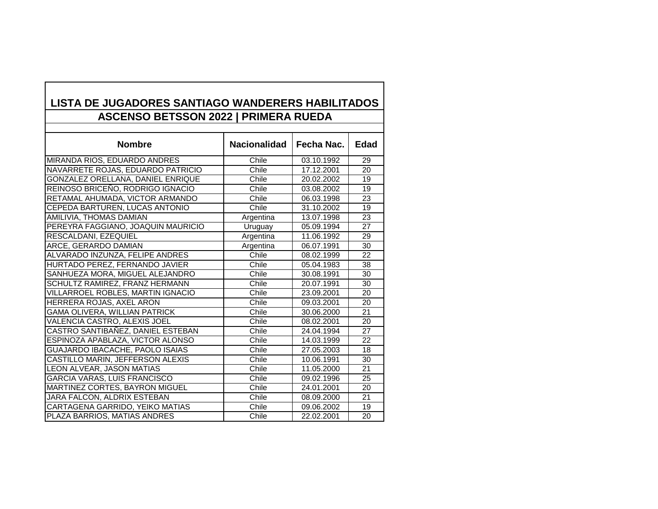| LISTA DE JUGADORES SANTIAGO WANDERERS HABILITADOS |                     |            |             |  |
|---------------------------------------------------|---------------------|------------|-------------|--|
| <b>ASCENSO BETSSON 2022   PRIMERA RUEDA</b>       |                     |            |             |  |
|                                                   |                     |            |             |  |
| <b>Nombre</b>                                     | <b>Nacionalidad</b> | Fecha Nac. | <b>Edad</b> |  |
| MIRANDA RIOS, EDUARDO ANDRES                      | Chile               | 03.10.1992 | 29          |  |
| NAVARRETE ROJAS, EDUARDO PATRICIO                 | Chile               | 17.12.2001 | 20          |  |
| GONZALEZ ORELLANA, DANIEL ENRIQUE                 | Chile               | 20.02.2002 | 19          |  |
| REINOSO BRICEÑO, RODRIGO IGNACIO                  | Chile               | 03.08.2002 | 19          |  |
| RETAMAL AHUMADA, VICTOR ARMANDO                   | Chile               | 06.03.1998 | 23          |  |
| CEPEDA BARTUREN, LUCAS ANTONIO                    | Chile               | 31.10.2002 | 19          |  |
| AMILIVIA, THOMAS DAMIAN                           | Argentina           | 13.07.1998 | 23          |  |
| PEREYRA FAGGIANO, JOAQUIN MAURICIO                | Uruguay             | 05.09.1994 | 27          |  |
| RESCALDANI, EZEQUIEL                              | Argentina           | 11.06.1992 | 29          |  |
| ARCE, GERARDO DAMIAN                              | Argentina           | 06.07.1991 | 30          |  |
| ALVARADO INZUNZA, FELIPE ANDRES                   | Chile               | 08.02.1999 | 22          |  |
| HURTADO PEREZ, FERNANDO JAVIER                    | Chile               | 05.04.1983 | 38          |  |
| SANHUEZA MORA, MIGUEL ALEJANDRO                   | Chile               | 30.08.1991 | 30          |  |
| SCHULTZ RAMIREZ, FRANZ HERMANN                    | Chile               | 20.07.1991 | 30          |  |
| VILLARROEL ROBLES, MARTIN IGNACIO                 | Chile               | 23.09.2001 | 20          |  |
| HERRERA ROJAS, AXEL ARON                          | Chile               | 09.03.2001 | 20          |  |
| GAMA OLIVERA, WILLIAN PATRICK                     | Chile               | 30.06.2000 | 21          |  |
| VALENCIA CASTRO, ALEXIS JOEL                      | Chile               | 08.02.2001 | 20          |  |
| CASTRO SANTIBAÑEZ, DANIEL ESTEBAN                 | Chile               | 24.04.1994 | 27          |  |
| ESPINOZA APABLAZA, VICTOR ALONSO                  | Chile               | 14.03.1999 | 22          |  |
| GUAJARDO IBACACHE, PAOLO ISAIAS                   | Chile               | 27.05.2003 | 18          |  |
| CASTILLO MARIN, JEFFERSON ALEXIS                  | Chile               | 10.06.1991 | 30          |  |
| LEON ALVEAR, JASON MATIAS                         | Chile               | 11.05.2000 | 21          |  |
| GARCIA VARAS, LUIS FRANCISCO                      | Chile               | 09.02.1996 | 25          |  |
| MARTINEZ CORTES, BAYRON MIGUEL                    | Chile               | 24.01.2001 | 20          |  |
| JARA FALCON, ALDRIX ESTEBAN                       | Chile               | 08.09.2000 | 21          |  |
| CARTAGENA GARRIDO, YEIKO MATIAS                   | Chile               | 09.06.2002 | 19          |  |
| PLAZA BARRIOS, MATIAS ANDRES                      | Chile               | 22.02.2001 | 20          |  |

**LISTA DE JUGADORES SANTIAGO WANDERERS HABILITADOS**